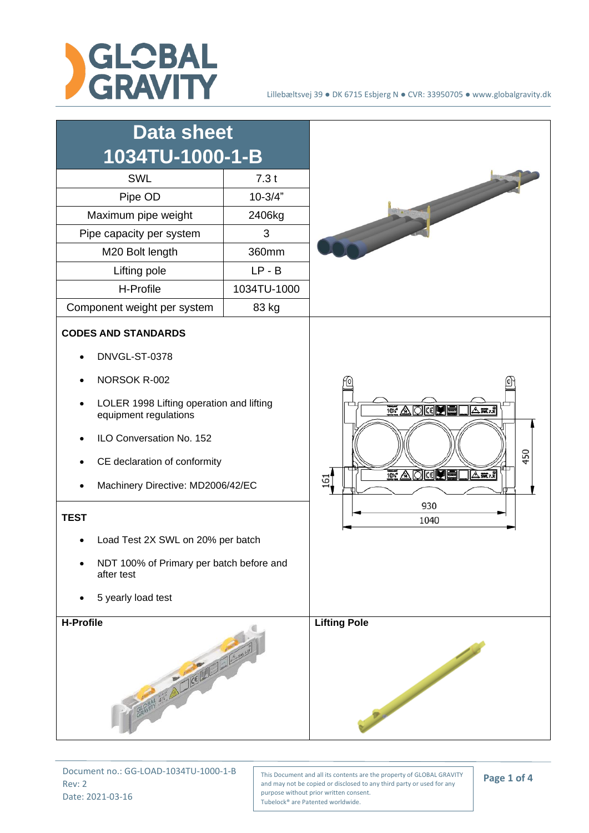



Document no.: GG-LOAD-1034TU-1000-1-B Rev: 2 Date: 2021-03-16

This Document and all its contents are the property of GLOBAL GRAVITY and may not be copied or disclosed to any third party or used for any purpose without prior written consent. Tubelock® are Patented worldwide.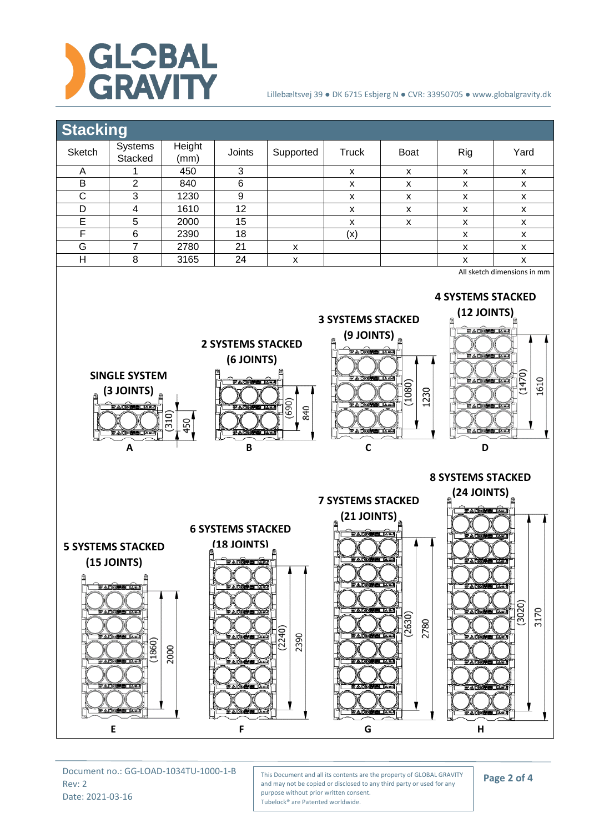



Document no.: GG-LOAD-1034TU-1000-1-B Rev: 2 Date: 2021-03-16

This Document and all its contents are the property of GLOBAL GRAVITY and may not be copied or disclosed to any third party or used for any purpose without prior written consent. Tubelock® are Patented worldwide.

**Page 2 of 4**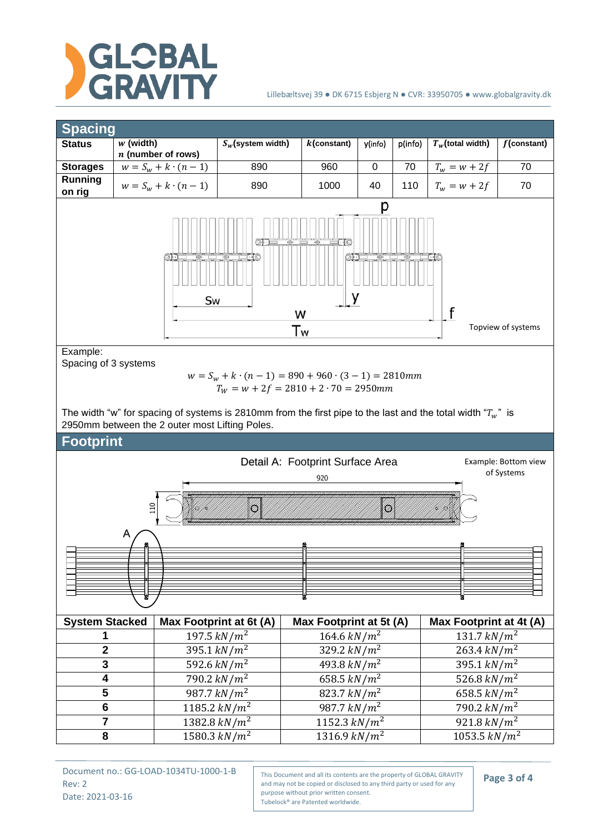